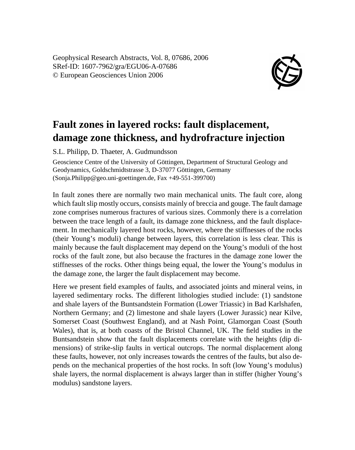Geophysical Research Abstracts, Vol. 8, 07686, 2006 SRef-ID: 1607-7962/gra/EGU06-A-07686 © European Geosciences Union 2006



## **Fault zones in layered rocks: fault displacement, damage zone thickness, and hydrofracture injection**

S.L. Philipp, D. Thaeter, A. Gudmundsson

Geoscience Centre of the University of Göttingen, Department of Structural Geology and Geodynamics, Goldschmidtstrasse 3, D-37077 Göttingen, Germany (Sonja.Philipp@geo.uni-goettingen.de, Fax +49-551-399700)

In fault zones there are normally two main mechanical units. The fault core, along which fault slip mostly occurs, consists mainly of breccia and gouge. The fault damage zone comprises numerous fractures of various sizes. Commonly there is a correlation between the trace length of a fault, its damage zone thickness, and the fault displacement. In mechanically layered host rocks, however, where the stiffnesses of the rocks (their Young's moduli) change between layers, this correlation is less clear. This is mainly because the fault displacement may depend on the Young's moduli of the host rocks of the fault zone, but also because the fractures in the damage zone lower the stiffnesses of the rocks. Other things being equal, the lower the Young's modulus in the damage zone, the larger the fault displacement may become.

Here we present field examples of faults, and associated joints and mineral veins, in layered sedimentary rocks. The different lithologies studied include: (1) sandstone and shale layers of the Buntsandstein Formation (Lower Triassic) in Bad Karlshafen, Northern Germany; and (2) limestone and shale layers (Lower Jurassic) near Kilve, Somerset Coast (Southwest England), and at Nash Point, Glamorgan Coast (South Wales), that is, at both coasts of the Bristol Channel, UK. The field studies in the Buntsandstein show that the fault displacements correlate with the heights (dip dimensions) of strike-slip faults in vertical outcrops. The normal displacement along these faults, however, not only increases towards the centres of the faults, but also depends on the mechanical properties of the host rocks. In soft (low Young's modulus) shale layers, the normal displacement is always larger than in stiffer (higher Young's modulus) sandstone layers.